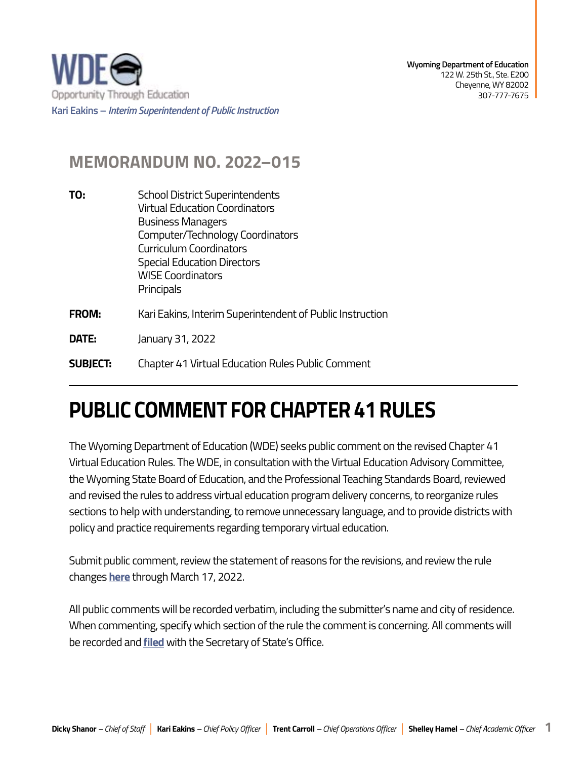

## **MEMORANDUM NO. 2022–015**

**SUBJECT: TO:** School District Superintendents Virtual Education Coordinators Business Managers Computer/Technology Coordinators Curriculum Coordinators Special Education Directors WISE Coordinators **Principals FROM:** Kari Eakins, Interim Superintendent of Public Instruction **DATE:** January 31, 2022 **SUBJECT:** Chapter 41 Virtual Education Rules Public Comment

## **PUBLIC COMMENT FOR CHAPTER 41 RULES**

The Wyoming Department of Education (WDE) seeks public comment on the revised Chapter 41 Virtual Education Rules. The WDE, in consultation with the Virtual Education Advisory Committee, the Wyoming State Board of Education, and the Professional Teaching Standards Board, reviewed and revised the rules to address virtual education program delivery concerns, to reorganize rules sections to help with understanding, to remove unnecessary language, and to provide districts with policy and practice requirements regarding temporary virtual education.

Submit public comment, review the statement of reasons for the revisions, and review the rule changes **[here](https://docs.google.com/forms/d/e/1FAIpQLSduAPo5LbnFNjCH6-InKHM6Mb4igVTpVpTiqWv-Id4EXeUptg/viewform)** through March 17, 2022.

All public comments will be recorded verbatim, including the submitter's name and city of residence. When commenting, specify which section of the rule the comment is concerning. All comments will be recorded and **[filed](https://rules.wyo.gov/)** with the Secretary of State's Office.